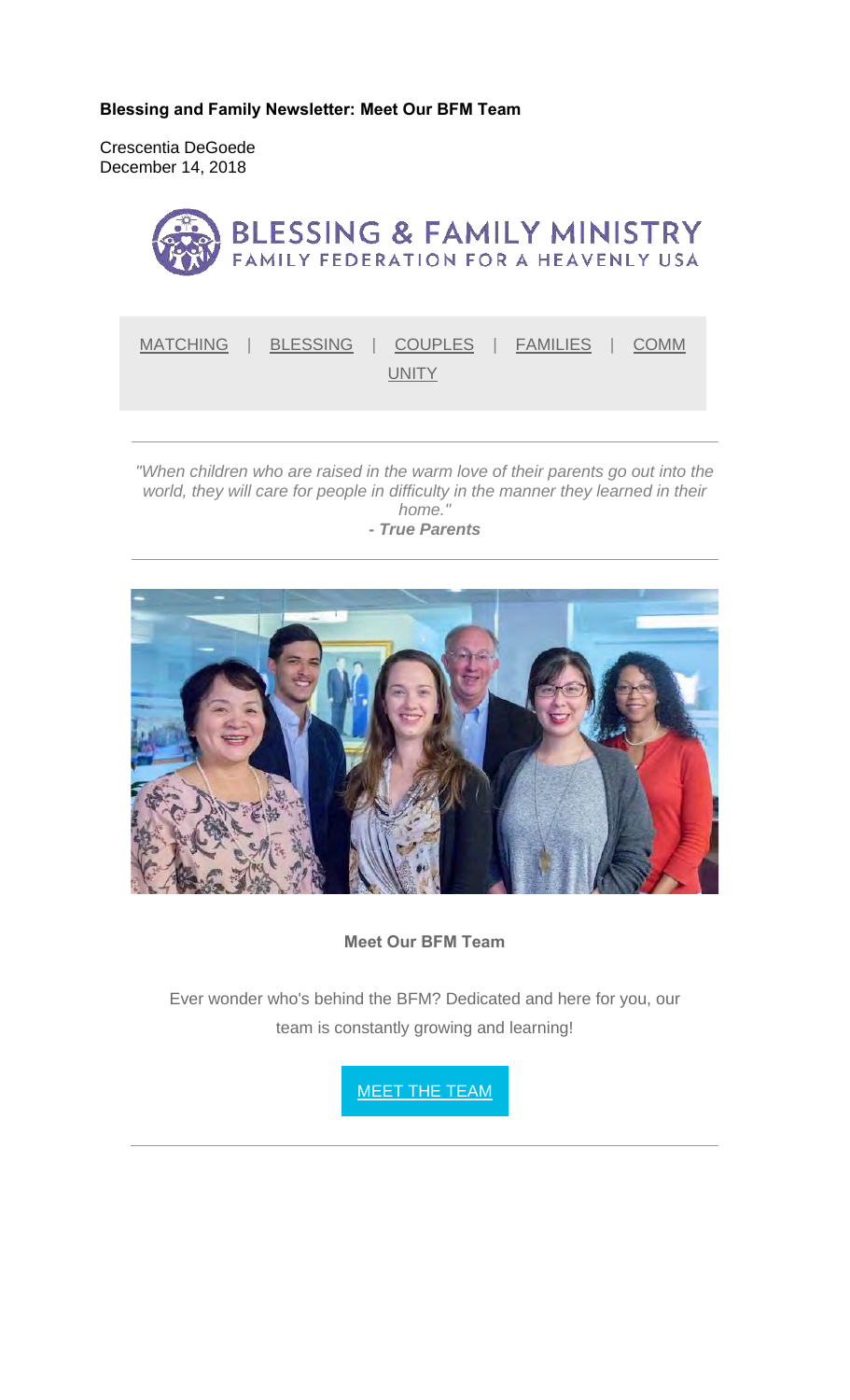**Blessing and Family Newsletter: Meet Our BFM Team** 

Crescentia DeGoede December 14, 2018



MATCHING | BLESSING | COUPLES | FAMILIES | COMM UNITY<sub></sub>

*"When children who are raised in the warm love of their parents go out into the world, they will care for people in difficulty in the manner they learned in their home." - True Parents*



**Meet Our BFM Team**

Ever wonder who's behind the BFM? Dedicated and here for you, our team is constantly growing and learning!

MEET THE TEAM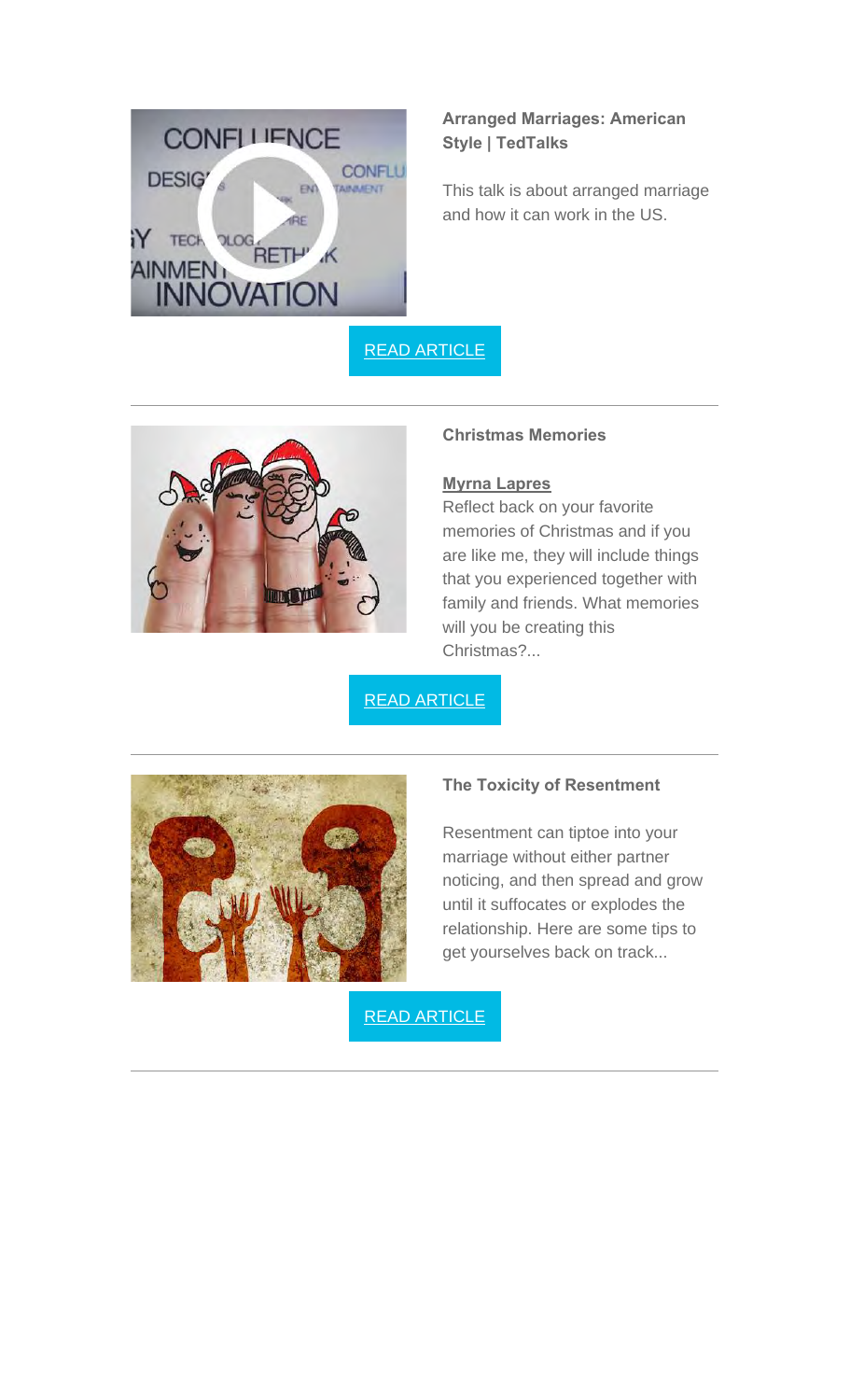

# **Arranged Marriages: American Style | TedTalks**

This talk is about arranged marriage and how it can work in the US.

READ ARTICLE



### **Christmas Memories**

### **Myrna Lapres**

Reflect back on your favorite memories of Christmas and if you are like me, they will include things that you experienced together with family and friends. What memories will you be creating this Christmas?...

READ ARTICLE



#### **The Toxicity of Resentment**

Resentment can tiptoe into your marriage without either partner noticing, and then spread and grow until it suffocates or explodes the relationship. Here are some tips to get yourselves back on track...

READ ARTICLE